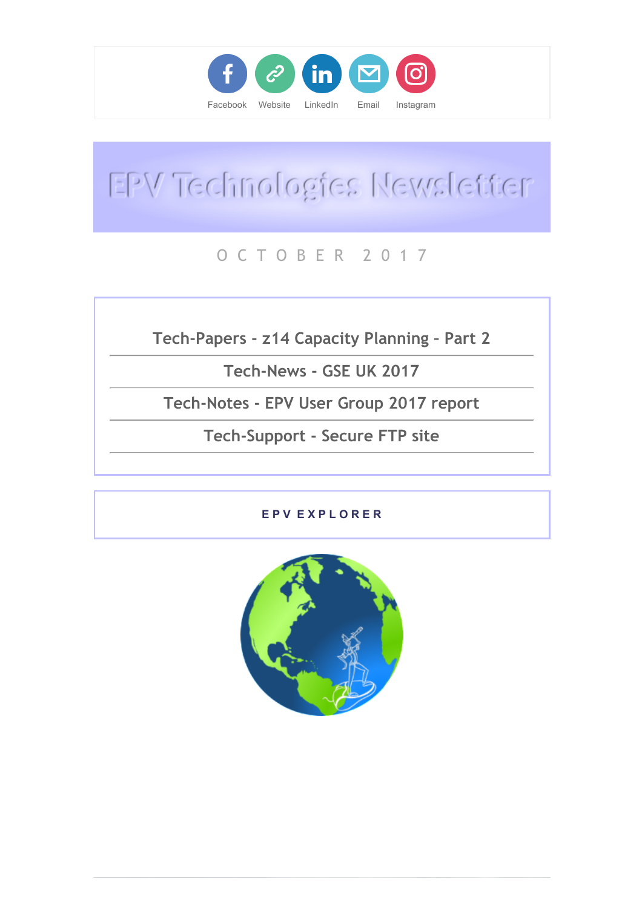

# EPV Technologies Newsletter

# O C T O B E R 2 0 1 7

Tech-Papers - z14 Capacity Planning – Part 2

Tech-News - GSE UK 2017

Tech-Notes - EPV User Group 2017 report

Tech-Support - Secure FTP site

### E P V E X P L O R E R

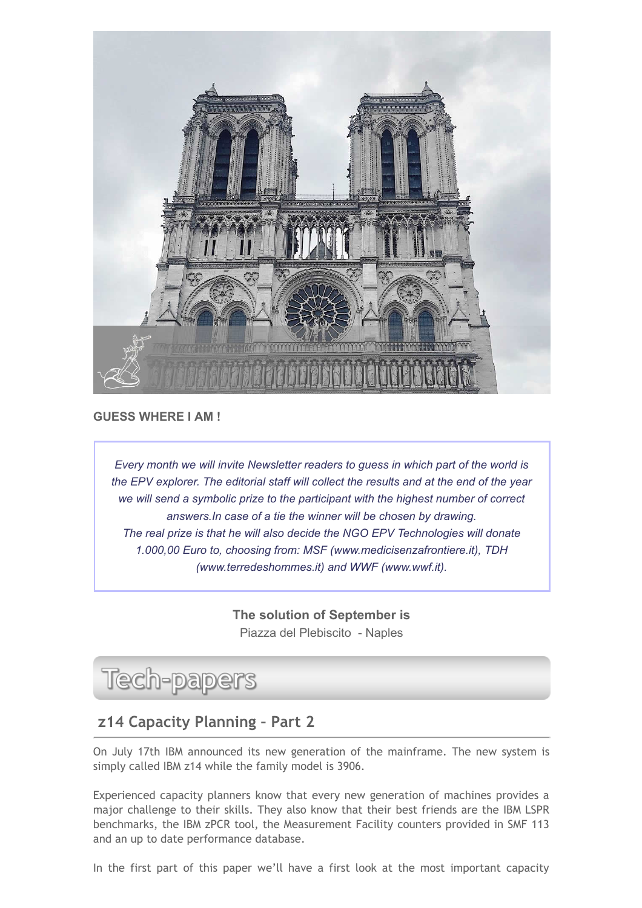

#### GUESS WHERE I AM !

Every month we will invite Newsletter readers to guess in which part of the world is the EPV explorer. The editorial staff will collect the results and at the end of the year we will send a symbolic prize to the participant with the highest number of correct answers.In case of a tie the winner will be chosen by drawing. The real prize is that he will also decide the NGO EPV Technologies will donate 1.000,00 Euro to, choosing from: MSF (www.medicisenzafrontiere.it), TDH (www.terredeshommes.it) and WWF (www.wwf.it).

> The solution of September is Piazza del Plebiscito - Naples

# Tech-papers

# z14 Capacity Planning – Part 2

On July 17th IBM announced its new generation of the mainframe. The new system is simply called IBM z14 while the family model is 3906.

Experienced capacity planners know that every new generation of machines provides a major challenge to their skills. They also know that their best friends are the IBM LSPR benchmarks, the IBM zPCR tool, the Measurement Facility counters provided in SMF 113 and an up to date performance database.

In the first part of this paper we'll have a first look at the most important capacity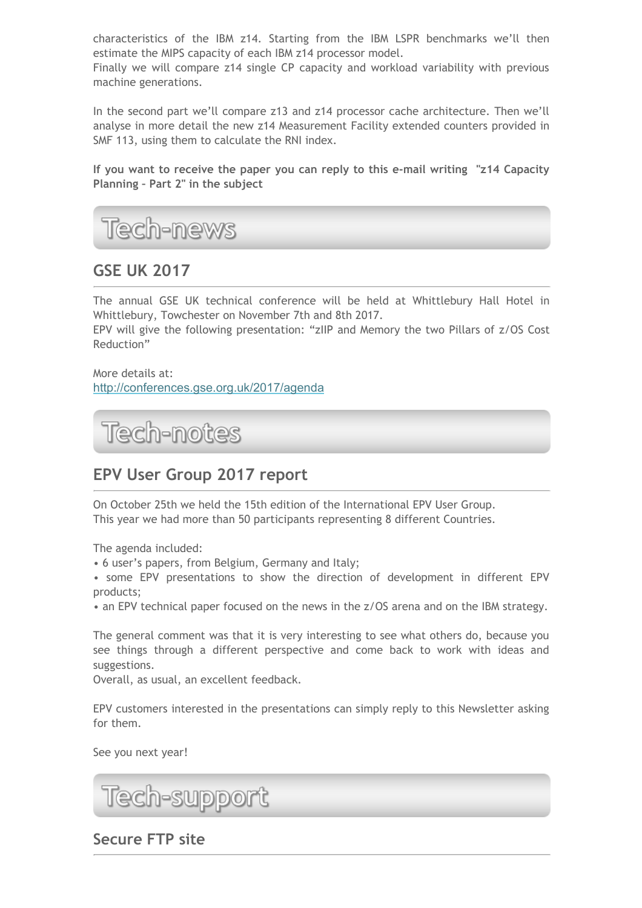characteristics of the IBM z14. Starting from the IBM LSPR benchmarks we'll then estimate the MIPS capacity of each IBM z14 processor model.

Finally we will compare z14 single CP capacity and workload variability with previous machine generations.

In the second part we'll compare z13 and z14 processor cache architecture. Then we'll analyse in more detail the new z14 Measurement Facility extended counters provided in SMF 113, using them to calculate the RNI index.

If you want to receive the paper you can reply to this e-mail writing "z14 Capacity Planning – Part 2" in the subject



# **GSE UK 2017**

The annual GSE UK technical conference will be held at Whittlebury Hall Hotel in Whittlebury, Towchester on November 7th and 8th 2017.

EPV will give the following presentation: "zIIP and Memory the two Pillars of z/OS Cost Reduction"

More details at: [http://conferences.gse.org.uk/2017/agenda](https://epvtech.us2.list-manage.com/track/click?u=062eec856ef8c8851bd059563&id=43f7ac1986&e=48456c6e0b)

Tech-notes

# EPV User Group 2017 report

On October 25th we held the 15th edition of the International EPV User Group. This year we had more than 50 participants representing 8 different Countries.

The agenda included:

• 6 user's papers, from Belgium, Germany and Italy;

• some EPV presentations to show the direction of development in different EPV products;

• an EPV technical paper focused on the news in the z/OS arena and on the IBM strategy.

The general comment was that it is very interesting to see what others do, because you see things through a different perspective and come back to work with ideas and suggestions.

Overall, as usual, an excellent feedback.

EPV customers interested in the presentations can simply reply to this Newsletter asking for them.

See you next year!

Tech-support

Secure FTP site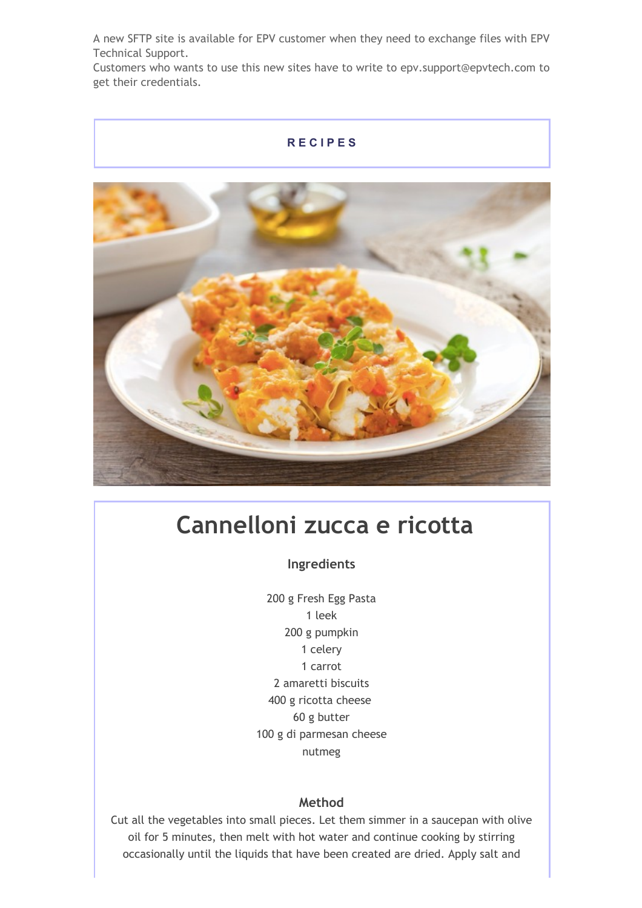A new SFTP site is available for EPV customer when they need to exchange files with EPV Technical Support.

Customers who wants to use this new sites have to write to epv.support@epvtech.com to get their credentials.

#### R E C I P E S



# Cannelloni zucca e ricotta

Ingredients

200 g Fresh Egg Pasta 1 leek 200 g pumpkin 1 celery 1 carrot 2 amaretti biscuits 400 g ricotta cheese 60 g butter 100 g di parmesan cheese nutmeg

#### Method

Cut all the vegetables into small pieces. Let them simmer in a saucepan with olive oil for 5 minutes, then melt with hot water and continue cooking by stirring occasionally until the liquids that have been created are dried. Apply salt and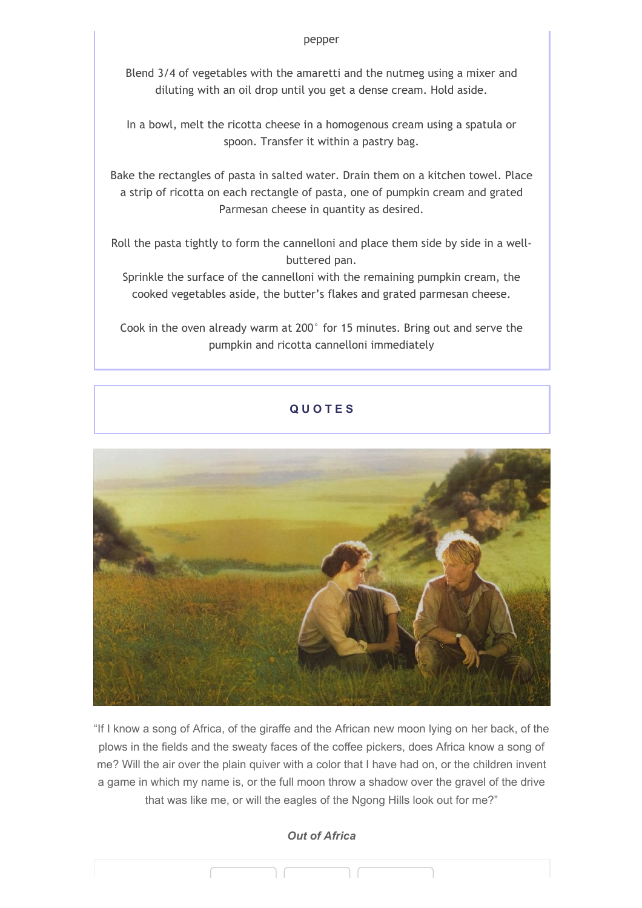Blend 3/4 of vegetables with the amaretti and the nutmeg using a mixer and diluting with an oil drop until you get a dense cream. Hold aside.

In a bowl, melt the ricotta cheese in a homogenous cream using a spatula or spoon. Transfer it within a pastry bag.

Bake the rectangles of pasta in salted water. Drain them on a kitchen towel. Place a strip of ricotta on each rectangle of pasta, one of pumpkin cream and grated Parmesan cheese in quantity as desired.

Roll the pasta tightly to form the cannelloni and place them side by side in a wellbuttered pan.

Sprinkle the surface of the cannelloni with the remaining pumpkin cream, the cooked vegetables aside, the butter's flakes and grated parmesan cheese.

Cook in the oven already warm at 200° for 15 minutes. Bring out and serve the pumpkin and ricotta cannelloni immediately

### Q U O T E S



"If I know a song of Africa, of the giraffe and the African new moon lying on her back, of the plows in the fields and the sweaty faces of the coffee pickers, does Africa know a song of me? Will the air over the plain quiver with a color that I have had on, or the children invent a game in which my name is, or the full moon throw a shadow over the gravel of the drive that was like me, or will the eagles of the Ngong Hills look out for me?"

#### Out of Africa